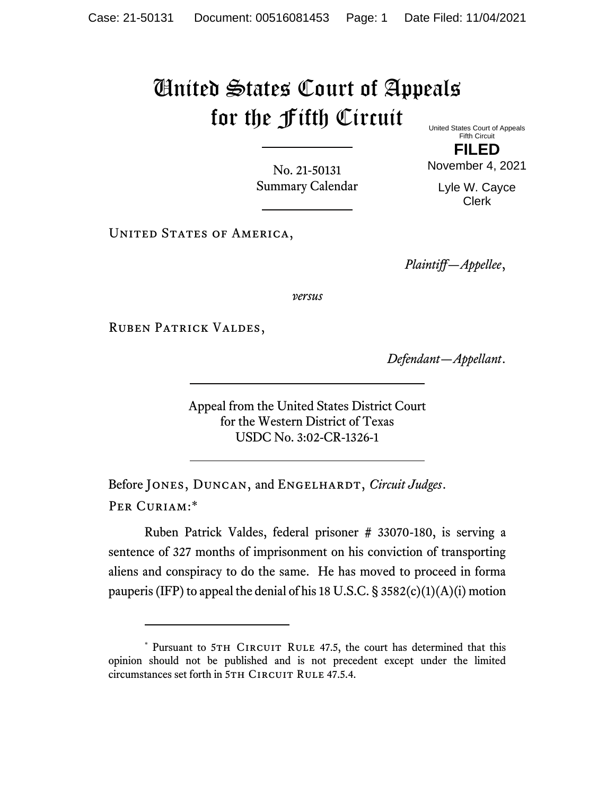## United States Court of Appeals for the Fifth Circuit United States Court of Appeals

No. 21-50131 Summary Calendar

Fifth Circuit **FILED**

November 4, 2021

Lyle W. Cayce Clerk

UNITED STATES OF AMERICA,

*Plaintiff—Appellee*,

*versus*

Ruben Patrick Valdes,

*Defendant—Appellant*.

Appeal from the United States District Court for the Western District of Texas USDC No. 3:02-CR-1326-1

Before JONES, DUNCAN, and ENGELHARDT, *Circuit Judges*. Per Curiam:\*

Ruben Patrick Valdes, federal prisoner # 33070-180, is serving a sentence of 327 months of imprisonment on his conviction of transporting aliens and conspiracy to do the same. He has moved to proceed in forma pauperis (IFP) to appeal the denial of his 18 U.S.C.  $\S$  3582(c)(1)(A)(i) motion

<sup>\*</sup> Pursuant to 5TH CIRCUIT RULE 47.5, the court has determined that this opinion should not be published and is not precedent except under the limited circumstances set forth in 5TH CIRCUIT RULE 47.5.4.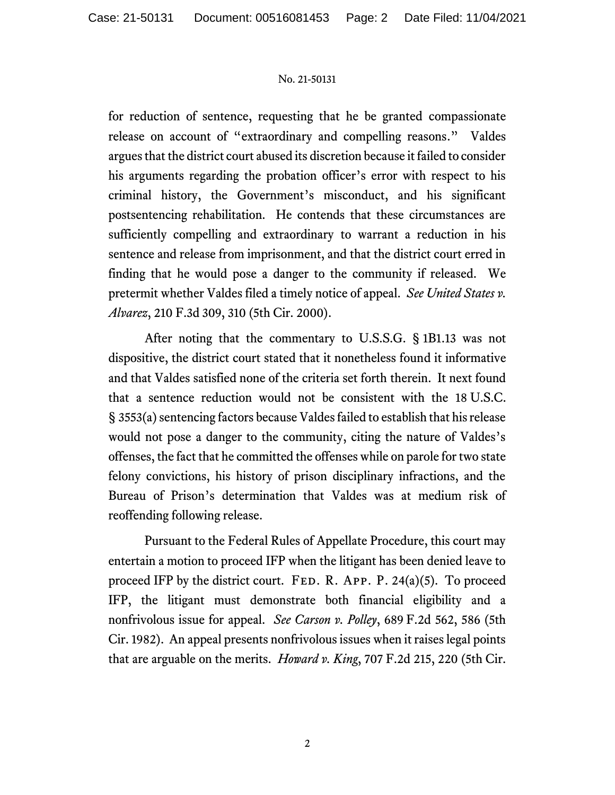## No. 21-50131

for reduction of sentence, requesting that he be granted compassionate release on account of "extraordinary and compelling reasons." Valdes argues that the district court abused its discretion because it failed to consider his arguments regarding the probation officer's error with respect to his criminal history, the Government's misconduct, and his significant postsentencing rehabilitation. He contends that these circumstances are sufficiently compelling and extraordinary to warrant a reduction in his sentence and release from imprisonment, and that the district court erred in finding that he would pose a danger to the community if released. We pretermit whether Valdes filed a timely notice of appeal. *See United States v. Alvarez*, 210 F.3d 309, 310 (5th Cir. 2000).

After noting that the commentary to U.S.S.G. § 1B1.13 was not dispositive, the district court stated that it nonetheless found it informative and that Valdes satisfied none of the criteria set forth therein. It next found that a sentence reduction would not be consistent with the 18 U.S.C. § 3553(a) sentencing factors because Valdes failed to establish that his release would not pose a danger to the community, citing the nature of Valdes's offenses, the fact that he committed the offenses while on parole for two state felony convictions, his history of prison disciplinary infractions, and the Bureau of Prison's determination that Valdes was at medium risk of reoffending following release.

Pursuant to the Federal Rules of Appellate Procedure, this court may entertain a motion to proceed IFP when the litigant has been denied leave to proceed IFP by the district court. FED. R. APP. P.  $24(a)(5)$ . To proceed IFP, the litigant must demonstrate both financial eligibility and a nonfrivolous issue for appeal. *See Carson v. Polley*, 689 F.2d 562, 586 (5th Cir. 1982). An appeal presents nonfrivolous issues when it raises legal points that are arguable on the merits. *Howard v. King*, 707 F.2d 215, 220 (5th Cir.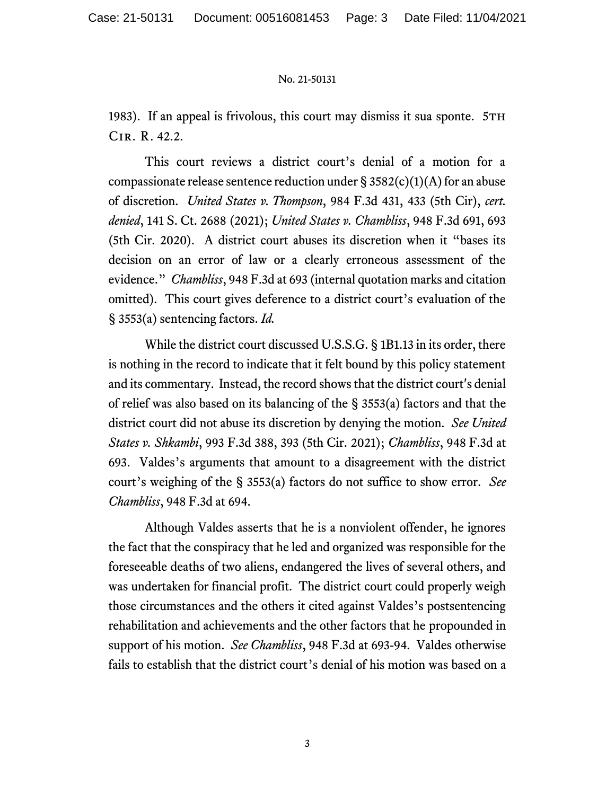## No. 21-50131

1983). If an appeal is frivolous, this court may dismiss it sua sponte. 5TH Cir. R. 42.2.

This court reviews a district court's denial of a motion for a compassionate release sentence reduction under  $\S 3582(c)(1)(A)$  for an abuse of discretion. *United States v. Thompson*, 984 F.3d 431, 433 (5th Cir), *cert. denied*, 141 S. Ct. 2688 (2021); *United States v. Chambliss*, 948 F.3d 691, 693 (5th Cir. 2020). A district court abuses its discretion when it "bases its decision on an error of law or a clearly erroneous assessment of the evidence." *Chambliss*, 948 F.3d at 693 (internal quotation marks and citation omitted). This court gives deference to a district court's evaluation of the § 3553(a) sentencing factors. *Id.*

While the district court discussed U.S.S.G. § 1B1.13 in its order, there is nothing in the record to indicate that it felt bound by this policy statement and its commentary. Instead, the record shows that the district court's denial of relief was also based on its balancing of the § 3553(a) factors and that the district court did not abuse its discretion by denying the motion. *See United States v. Shkambi*, 993 F.3d 388, 393 (5th Cir. 2021); *Chambliss*, 948 F.3d at 693. Valdes's arguments that amount to a disagreement with the district court's weighing of the § 3553(a) factors do not suffice to show error. *See Chambliss*, 948 F.3d at 694.

Although Valdes asserts that he is a nonviolent offender, he ignores the fact that the conspiracy that he led and organized was responsible for the foreseeable deaths of two aliens, endangered the lives of several others, and was undertaken for financial profit. The district court could properly weigh those circumstances and the others it cited against Valdes's postsentencing rehabilitation and achievements and the other factors that he propounded in support of his motion. *See Chambliss*, 948 F.3d at 693-94. Valdes otherwise fails to establish that the district court's denial of his motion was based on a